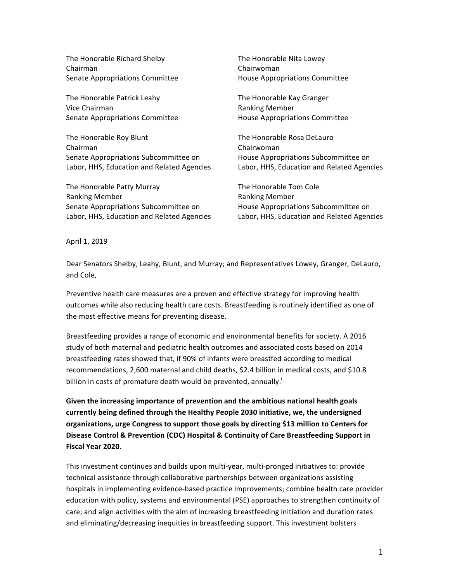The Honorable Richard Shelby Chairman Senate Appropriations Committee

The Honorable Patrick Leahy Vice Chairman Senate Appropriations Committee

The Honorable Roy Blunt Chairman Senate Appropriations Subcommittee on Labor, HHS, Education and Related Agencies

The Honorable Patty Murray Ranking Member Senate Appropriations Subcommittee on Labor, HHS, Education and Related Agencies The Honorable Nita Lowey Chairwoman House Appropriations Committee

The Honorable Kay Granger Ranking Member House Appropriations Committee

The Honorable Rosa DeLauro Chairwoman House Appropriations Subcommittee on Labor, HHS, Education and Related Agencies

The Honorable Tom Cole Ranking Member House Appropriations Subcommittee on Labor, HHS, Education and Related Agencies

April 1, 2019

Dear Senators Shelby, Leahy, Blunt, and Murray; and Representatives Lowey, Granger, DeLauro, and Cole,

Preventive health care measures are a proven and effective strategy for improving health outcomes while also reducing health care costs. Breastfeeding is routinely identified as one of the most effective means for preventing disease.

Breastfeeding provides a range of economic and environmental benefits for society. A 2016 study of both maternal and pediatric health outcomes and associated costs based on 2014 breastfeeding rates showed that, if 90% of infants were breastfed according to medical recommendations, 2,600 maternal and child deaths, \$2.4 billion in medical costs, and \$10.8 billion in costs of premature death would be prevented, annually.<sup>1</sup>

Given the increasing importance of prevention and the ambitious national health goals currently being defined through the Healthy People 2030 initiative, we, the undersigned organizations, urge Congress to support those goals by directing \$13 million to Centers for Disease Control & Prevention (CDC) Hospital & Continuity of Care Breastfeeding Support in **Fiscal Year 2020.** 

This investment continues and builds upon multi-year, multi-pronged initiatives to: provide technical assistance through collaborative partnerships between organizations assisting hospitals in implementing evidence-based practice improvements; combine health care provider education with policy, systems and environmental (PSE) approaches to strengthen continuity of care; and align activities with the aim of increasing breastfeeding initiation and duration rates and eliminating/decreasing inequities in breastfeeding support. This investment bolsters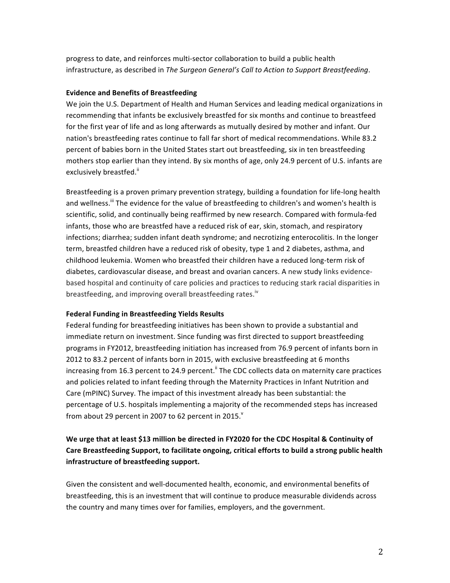progress to date, and reinforces multi-sector collaboration to build a public health infrastructure, as described in *The Surgeon General's Call to Action to Support Breastfeeding*.

## **Evidence and Benefits of Breastfeeding**

We join the U.S. Department of Health and Human Services and leading medical organizations in recommending that infants be exclusively breastfed for six months and continue to breastfeed for the first year of life and as long afterwards as mutually desired by mother and infant. Our nation's breastfeeding rates continue to fall far short of medical recommendations. While 83.2 percent of babies born in the United States start out breastfeeding, six in ten breastfeeding mothers stop earlier than they intend. By six months of age, only 24.9 percent of U.S. infants are exclusively breastfed."

Breastfeeding is a proven primary prevention strategy, building a foundation for life-long health and wellness.<sup>iii</sup> The evidence for the value of breastfeeding to children's and women's health is scientific, solid, and continually being reaffirmed by new research. Compared with formula-fed infants, those who are breastfed have a reduced risk of ear, skin, stomach, and respiratory infections; diarrhea; sudden infant death syndrome; and necrotizing enterocolitis. In the longer term, breastfed children have a reduced risk of obesity, type 1 and 2 diabetes, asthma, and childhood leukemia. Women who breastfed their children have a reduced long-term risk of diabetes, cardiovascular disease, and breast and ovarian cancers. A new study links evidencebased hospital and continuity of care policies and practices to reducing stark racial disparities in breastfeeding, and improving overall breastfeeding rates.<sup>iv</sup>

## **Federal Funding in Breastfeeding Yields Results**

Federal funding for breastfeeding initiatives has been shown to provide a substantial and immediate return on investment. Since funding was first directed to support breastfeeding programs in FY2012, breastfeeding initiation has increased from 76.9 percent of infants born in 2012 to 83.2 percent of infants born in 2015, with exclusive breastfeeding at 6 months increasing from 16.3 percent to 24.9 percent. <sup>"</sup> The CDC collects data on maternity care practices and policies related to infant feeding through the Maternity Practices in Infant Nutrition and Care (mPINC) Survey. The impact of this investment already has been substantial: the percentage of U.S. hospitals implementing a majority of the recommended steps has increased from about 29 percent in 2007 to 62 percent in 2015. $^{\circ}$ 

## We urge that at least \$13 million be directed in FY2020 for the CDC Hospital & Continuity of Care Breastfeeding Support, to facilitate ongoing, critical efforts to build a strong public health **infrastructure of breastfeeding support.**

Given the consistent and well-documented health, economic, and environmental benefits of breastfeeding, this is an investment that will continue to produce measurable dividends across the country and many times over for families, employers, and the government.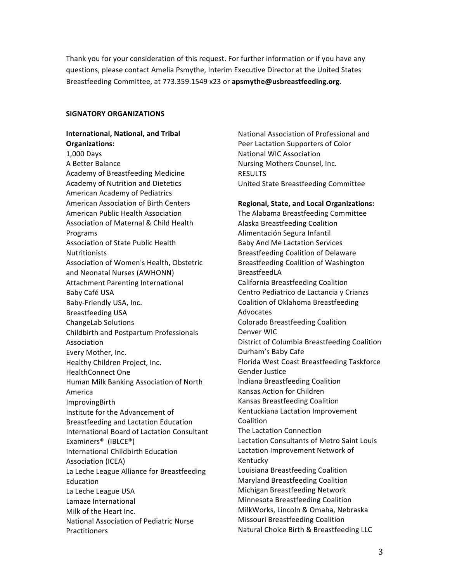Thank you for your consideration of this request. For further information or if you have any guestions, please contact Amelia Psmythe, Interim Executive Director at the United States Breastfeeding Committee, at 773.359.1549 x23 or apsmythe@usbreastfeeding.org.

## **SIGNATORY ORGANIZATIONS**

**International, National, and Tribal Organizations:**  1,000 Days A Better Balance Academy of Breastfeeding Medicine Academy of Nutrition and Dietetics American Academy of Pediatrics American Association of Birth Centers American Public Health Association Association of Maternal & Child Health Programs Association of State Public Health **Nutritionists** Association of Women's Health, Obstetric and Neonatal Nurses (AWHONN) Attachment Parenting International Baby Café USA Baby-Friendly USA, Inc. Breastfeeding USA ChangeLab Solutions Childbirth and Postpartum Professionals Association Every Mother, Inc. Healthy Children Project, Inc. HealthConnect One Human Milk Banking Association of North America ImprovingBirth Institute for the Advancement of Breastfeeding and Lactation Education International Board of Lactation Consultant Examiners® (IBLCE®) International Childbirth Education Association (ICEA) La Leche League Alliance for Breastfeeding Education La Leche League USA Lamaze International Milk of the Heart Inc. National Association of Pediatric Nurse **Practitioners** 

National Association of Professional and Peer Lactation Supporters of Color **National WIC Association** Nursing Mothers Counsel, Inc. RESULTS United State Breastfeeding Committee

**Regional, State, and Local Organizations:** The Alabama Breastfeeding Committee Alaska Breastfeeding Coalition Alimentación Segura Infantil Baby And Me Lactation Services Breastfeeding Coalition of Delaware Breastfeeding Coalition of Washington BreastfeedLA California Breastfeeding Coalition Centro Pediatrico de Lactancia y Crianzs Coalition of Oklahoma Breastfeeding Advocates Colorado Breastfeeding Coalition Denver WIC District of Columbia Breastfeeding Coalition Durham's Baby Cafe Florida West Coast Breastfeeding Taskforce Gender Justice Indiana Breastfeeding Coalition Kansas Action for Children Kansas Breastfeeding Coalition Kentuckiana Lactation Improvement Coalition The Lactation Connection Lactation Consultants of Metro Saint Louis Lactation Improvement Network of Kentucky Louisiana Breastfeeding Coalition Maryland Breastfeeding Coalition

Michigan Breastfeeding Network Minnesota Breastfeeding Coalition MilkWorks, Lincoln & Omaha, Nebraska **Missouri Breastfeeding Coalition** Natural Choice Birth & Breastfeeding LLC